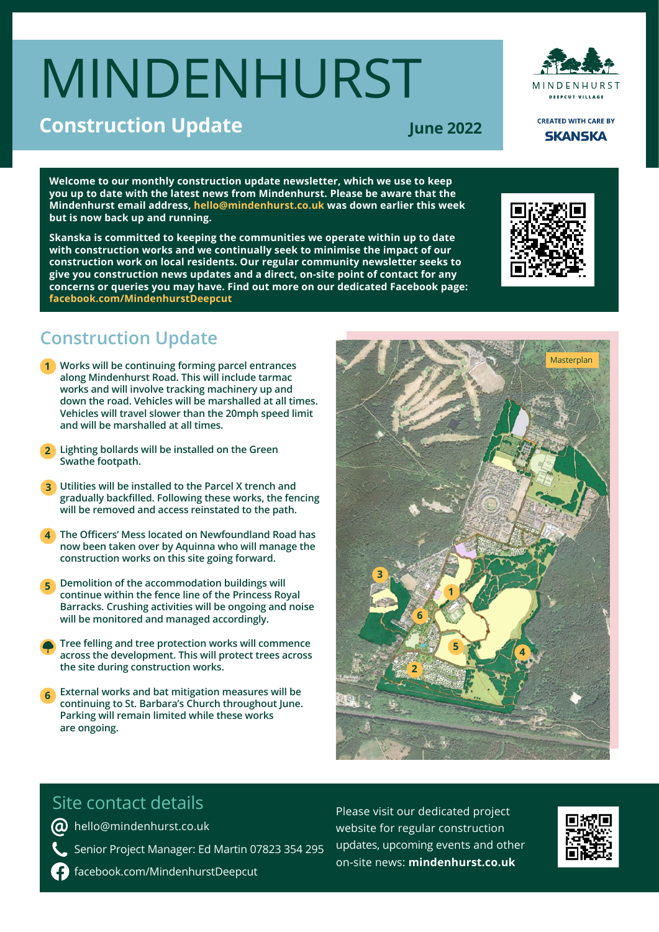# MINDENHURST



**CREATED WITH CARE BY SKANSKA** 

**June 2022**

**Welcome to our monthly construction update newsletter, which we use to keep you up to date with the latest news from Mindenhurst. Please be aware that the Mindenhurst email address, hello@mindenhurst.co.uk was down earlier this week but is now back up and running.**

**Skanska is committed to keeping the communities we operate within up to date with construction works and we continually seek to minimise the impact of our construction work on local residents. Our regular community newsletter seeks to give you construction news updates and a direct, on-site point of contact for any concerns or queries you may have. Find out more on our dedicated Facebook page: facebook.com/MindenhurstDeepcut** 



## **Construction Update**

- **Works will be continuing forming parcel entrances 1 along Mindenhurst Road. This will include tarmac works and will involve tracking machinery up and down the road. Vehicles will be marshalled at all times. Vehicles will travel slower than the 20mph speed limit and will be marshalled at all times.**
- **Lighting bollards will be installed on the Green 2 Swathe footpath.**
- **Utilities will be installed to the Parcel X trench and 3 gradually backfilled. Following these works, the fencing will be removed and access reinstated to the path.**
- **The Officers' Mess located on Newfoundland Road has 4 now been taken over by Aquinna who will manage the construction works on this site going forward.**
- **Demolition of the accommodation buildings will continue within the fence line of the Princess Royal Barracks. Crushing activities will be ongoing and noise will be monitored and managed accordingly. 5**
- **Tree felling and tree protection works will commence across the development. This will protect trees across the site during construction works.**
- **External works and bat mitigation measures will be continuing to St. Barbara's Church throughout June. Parking will remain limited while these works are ongoing. 6**



### Site contact details

**@** hello@mindenhurst.co.uk

- Senior Project Manager: Ed Martin 07823 354 295
- facebook.com/MindenhurstDeepcut

Please visit our dedicated project website for regular construction updates, upcoming events and other on-site news: **mindenhurst.co.uk**